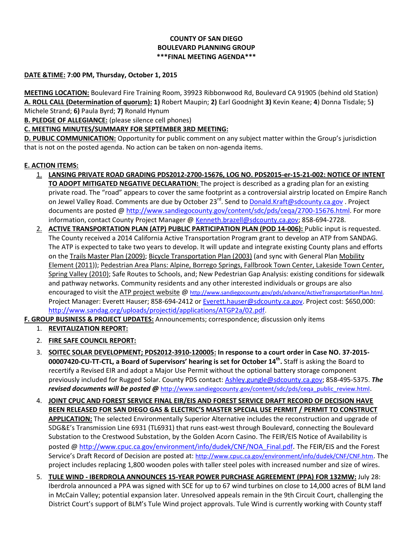## **COUNTY OF SAN DIEGO BOULEVARD PLANNING GROUP \*\*\*FINAL MEETING AGENDA\*\*\***

## **DATE &TIME: 7:00 PM, Thursday, October 1, 2015**

**MEETING LOCATION:** Boulevard Fire Training Room, 39923 Ribbonwood Rd, Boulevard CA 91905 (behind old Station) **A. ROLL CALL (Determination of quorum): 1)** Robert Maupin; **2)** Earl Goodnight **3)** Kevin Keane; **4**) Donna Tisdale; 5**)**  Michele Strand; **6)** Paula Byrd; **7)** Ronald Hynum

**B. PLEDGE OF ALLEGIANCE:** (please silence cell phones)

**C. MEETING MINUTES/SUMMARY FOR SEPTEMBER 3RD MEETING:** 

**D. PUBLIC COMMUNICATION:** Opportunity for public comment on any subject matter within the Group's jurisdiction that is not on the posted agenda. No action can be taken on non-agenda items.

## **E. ACTION ITEMS:**

- 1. **LANSING PRIVATE ROAD GRADING PDS2012-2700-15676, LOG NO. PDS2015-er-15-21-002: NOTICE OF INTENT TO ADOPT MITIGATED NEGATIVE DECLARATION:** The project is described as a grading plan for an existing private road. The "road" appears to cover the same footprint as a controversial airstrip located on Empire Ranch on Jewel Valley Road. Comments are due by October 23<sup>rd</sup>. Send to <u>Donald.Kraft@sdcounty.ca.gov</u> . Project documents are posted @ http://www.sandiegocounty.gov/content/sdc/pds/ceqa/2700-15676.html</u>. For more information, contact County Project Manager @ [Kenneth.brazell@sdcounty.ca.gov;](mailto:Kenneth.brazell@sdcounty.ca.gov) 858-694-2728.
- 2. **ACTIVE TRANSPORTATION PLAN (ATP) PUBLIC PARTICIPATION PLAN (POD 14-006):** Public input is requested. The County received a 2014 California Active Transportation Program grant to develop an ATP from SANDAG. The ATP is expected to take two years to develop. It will update and integrate existing County plans and efforts on the [Trails Master Plan \(2009\);](http://links.govdelivery.com/track?type=click&enid=ZWFzPTEmbWFpbGluZ2lkPTIwMTUwOTEwLjQ4OTU3OTQxJm1lc3NhZ2VpZD1NREItUFJELUJVTC0yMDE1MDkxMC40ODk1Nzk0MSZkYXRhYmFzZWlkPTEwMDEmc2VyaWFsPTE3NTQ5ODc0JmVtYWlsaWQ9bGVhLmdvcmRvbkBzZGNvdW50eS5jYS5nb3YmdXNlcmlkPWxlYS5nb3Jkb25Ac2Rjb3VudHkuY2EuZ292JmZsPSZleHRyYT1NdWx0aXZhcmlhdGVJZD0mJiY=&&&101&&&http://www.co.san-diego.ca.us/reusable_components/images/parks/doc/toc09.pdf) [Bicycle Transportation Plan \(2003\)](http://links.govdelivery.com/track?type=click&enid=ZWFzPTEmbWFpbGluZ2lkPTIwMTUwOTEwLjQ4OTU3OTQxJm1lc3NhZ2VpZD1NREItUFJELUJVTC0yMDE1MDkxMC40ODk1Nzk0MSZkYXRhYmFzZWlkPTEwMDEmc2VyaWFsPTE3NTQ5ODc0JmVtYWlsaWQ9bGVhLmdvcmRvbkBzZGNvdW50eS5jYS5nb3YmdXNlcmlkPWxlYS5nb3Jkb25Ac2Rjb3VudHkuY2EuZ292JmZsPSZleHRyYT1NdWx0aXZhcmlhdGVJZD0mJiY=&&&102&&&http://www.sdcounty.ca.gov/pds/docs/Bicycle_Transportation_Plan.pdf) (and sync with General Plan Mobility [Element \(2011\)](http://links.govdelivery.com/track?type=click&enid=ZWFzPTEmbWFpbGluZ2lkPTIwMTUwOTEwLjQ4OTU3OTQxJm1lc3NhZ2VpZD1NREItUFJELUJVTC0yMDE1MDkxMC40ODk1Nzk0MSZkYXRhYmFzZWlkPTEwMDEmc2VyaWFsPTE3NTQ5ODc0JmVtYWlsaWQ9bGVhLmdvcmRvbkBzZGNvdW50eS5jYS5nb3YmdXNlcmlkPWxlYS5nb3Jkb25Ac2Rjb3VudHkuY2EuZ292JmZsPSZleHRyYT1NdWx0aXZhcmlhdGVJZD0mJiY=&&&103&&&http://www.sdcounty.ca.gov/pds/gpupdate/docs/BOS_Aug2011/C.1-10_Mobility_Element_Draft_General_Plan_appendix_3.pdf)); [Pedestrian Area Plans: Alpine, Borrego Springs, Fallbrook Town Center, Lakeside Town Center,](http://links.govdelivery.com/track?type=click&enid=ZWFzPTEmbWFpbGluZ2lkPTIwMTUwOTEwLjQ4OTU3OTQxJm1lc3NhZ2VpZD1NREItUFJELUJVTC0yMDE1MDkxMC40ODk1Nzk0MSZkYXRhYmFzZWlkPTEwMDEmc2VyaWFsPTE3NTQ5ODc0JmVtYWlsaWQ9bGVhLmdvcmRvbkBzZGNvdW50eS5jYS5nb3YmdXNlcmlkPWxlYS5nb3Jkb25Ac2Rjb3VudHkuY2EuZ292JmZsPSZleHRyYT1NdWx0aXZhcmlhdGVJZD0mJiY=&&&104&&&http://www.sdcounty.ca.gov/pds/advance/pedareaplan.html)  [Spring Valley \(2010\);](http://links.govdelivery.com/track?type=click&enid=ZWFzPTEmbWFpbGluZ2lkPTIwMTUwOTEwLjQ4OTU3OTQxJm1lc3NhZ2VpZD1NREItUFJELUJVTC0yMDE1MDkxMC40ODk1Nzk0MSZkYXRhYmFzZWlkPTEwMDEmc2VyaWFsPTE3NTQ5ODc0JmVtYWlsaWQ9bGVhLmdvcmRvbkBzZGNvdW50eS5jYS5nb3YmdXNlcmlkPWxlYS5nb3Jkb25Ac2Rjb3VudHkuY2EuZ292JmZsPSZleHRyYT1NdWx0aXZhcmlhdGVJZD0mJiY=&&&104&&&http://www.sdcounty.ca.gov/pds/advance/pedareaplan.html) Safe Routes to Schools, and; New Pedestrian Gap Analysis: existing conditions for sidewalk and pathway networks. Community residents and any other interested individuals or groups are also encouraged to visit the [ATP project website](http://links.govdelivery.com/track?type=click&enid=ZWFzPTEmbWFpbGluZ2lkPTIwMTUwOTEwLjQ4OTU3OTQxJm1lc3NhZ2VpZD1NREItUFJELUJVTC0yMDE1MDkxMC40ODk1Nzk0MSZkYXRhYmFzZWlkPTEwMDEmc2VyaWFsPTE3NTQ5ODc0JmVtYWlsaWQ9bGVhLmdvcmRvbkBzZGNvdW50eS5jYS5nb3YmdXNlcmlkPWxlYS5nb3Jkb25Ac2Rjb3VudHkuY2EuZ292JmZsPSZleHRyYT1NdWx0aXZhcmlhdGVJZD0mJiY=&&&105&&&http://sdcounty.ca.gov/pds/advance/ActiveTransportationPlan.html) @ [http://www.sandiegocounty.gov/pds/advance/ActiveTransportationPlan.html.](http://www.sandiegocounty.gov/pds/advance/ActiveTransportationPlan.html) Project Manager: Everett Hauser; 858-694-2412 or [Everett.hauser@sdcounty.ca.gov.](mailto:Everett.hauser@sdcounty.ca.gov) Project cost: \$650,000: [http://www.sandag.org/uploads/projectid/applications/ATGP2a/02.pdf.](http://www.sandag.org/uploads/projectid/applications/ATGP2a/02.pdf)
- **F. GROUP BUSINESS & PROJECT UPDATES:** Announcements; correspondence; discussion only items
	- 1. **REVITALIZATION REPORT:**
	- 2. **FIRE SAFE COUNCIL REPORT:**
	- 3. **SOITEC SOLAR DEVELOPMENT; PDS2012-3910-120005: In response to a court order in Case NO. 37-2015- 00007420-CU-TT-CTL, a Board of Supervisors' hearing is set for October 14th .** Staff is asking the Board to recertify a Revised EIR and adopt a Major Use Permit without the optional battery storage component previously included for Rugged Solar. County PDS contact[: Ashley.gungle@sdcounty.ca.gov;](mailto:Ashley.gungle@sdcounty.ca.gov) 858-495-5375. *The*  revised documents will be posted @ [http://www.sandiegocounty.gov/content/sdc/pds/ceqa\\_public\\_review.html](http://www.sandiegocounty.gov/content/sdc/pds/ceqa_public_review.html).
	- 4. **JOINT CPUC AND FOREST SERVICE FINAL EIR/EIS AND FOREST SERVICE DRAFT RECORD OF DECISION HAVE BEEN RELEASED FOR SAN DIEGO GAS & ELECTRIC'S MASTER SPECIAL USE PERMIT / PERMIT TO CONSTRUCT APPLICATION:** The selected Environmentally Superior Alternative includes the reconstruction and upgrade of SDG&E's Transmission Line 6931 (TL6931) that runs east-west through Boulevard, connecting the Boulevard Substation to the Crestwood Substation, by the Golden Acorn Casino. The FEIR/EIS Notice of Availability is posted [@ http://www.cpuc.ca.gov/environment/info/dudek/CNF/NOA\\_Final.pdf](http://www.cpuc.ca.gov/environment/info/dudek/CNF/NOA_Final.pdf). The FEIR/EIS and the Forest Service's Draft Record of Decision are posted at: <http://www.cpuc.ca.gov/environment/info/dudek/CNF/CNF.htm>. The project includes replacing 1,800 wooden poles with taller steel poles with increased number and size of wires.
	- 5. **TULE WIND - IBERDROLA ANNOUNCES 15-YEAR POWER PURCHASE AGREEMENT (PPA) FOR 132MW:** July 28: Iberdrola announced a PPA was signed with SCE for up to 67 wind turbines on close to 14,000 acres of BLM land in McCain Valley; potential expansion later. Unresolved appeals remain in the 9th Circuit Court, challenging the District Court's support of BLM's Tule Wind project approvals. Tule Wind is currently working with County staff